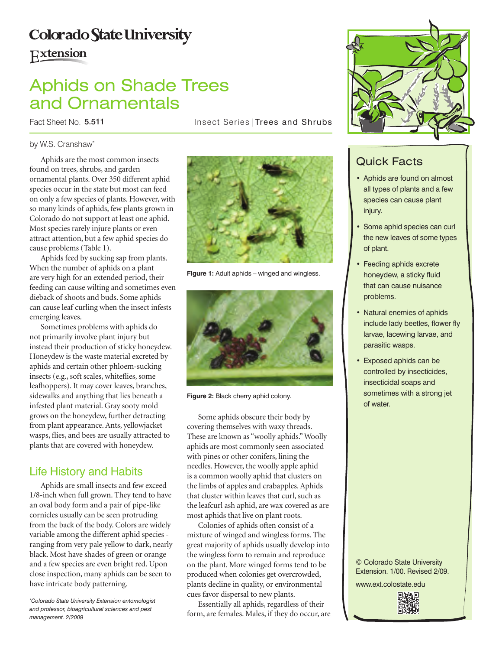# **Colorado State University**

# Extension

# Aphids on Shade Trees and Ornamentals

Fact Sheet No. 5.511

Insect Series | Trees and Shrubs

### by W.S. Cranshaw\*

Aphids are the most common insects found on trees, shrubs, and garden ornamental plants. Over 350 different aphid species occur in the state but most can feed on only a few species of plants. However, with so many kinds of aphids, few plants grown in Colorado do not support at least one aphid. Most species rarely injure plants or even attract attention, but a few aphid species do cause problems (Table 1).

Aphids feed by sucking sap from plants. When the number of aphids on a plant are very high for an extended period, their feeding can cause wilting and sometimes even dieback of shoots and buds. Some aphids can cause leaf curling when the insect infests emerging leaves.

Sometimes problems with aphids do not primarily involve plant injury but instead their production of sticky honeydew. Honeydew is the waste material excreted by aphids and certain other phloem-sucking insects (e.g., soft scales, whiteflies, some leafhoppers). It may cover leaves, branches, sidewalks and anything that lies beneath a infested plant material. Gray sooty mold grows on the honeydew, further detracting from plant appearance. Ants, yellowjacket wasps, flies, and bees are usually attracted to plants that are covered with honeydew.

## Life History and Habits

Aphids are small insects and few exceed 1/8-inch when full grown. They tend to have an oval body form and a pair of pipe-like cornicles usually can be seen protruding from the back of the body. Colors are widely variable among the different aphid species ranging from very pale yellow to dark, nearly black. Most have shades of green or orange and a few species are even bright red. Upon close inspection, many aphids can be seen to have intricate body patterning.



**Figure 1:** Adult aphids – winged and wingless.



**Figure 2:** Black cherry aphid colony.

Some aphids obscure their body by covering themselves with waxy threads. These are known as "woolly aphids." Woolly aphids are most commonly seen associated with pines or other conifers, lining the needles. However, the woolly apple aphid is a common woolly aphid that clusters on the limbs of apples and crabapples. Aphids that cluster within leaves that curl, such as the leafcurl ash aphid, are wax covered as are most aphids that live on plant roots.

Colonies of aphids often consist of a mixture of winged and wingless forms. The great majority of aphids usually develop into the wingless form to remain and reproduce on the plant. More winged forms tend to be produced when colonies get overcrowded, plants decline in quality, or environmental cues favor dispersal to new plants.

Essentially all aphids, regardless of their form, are females. Males, if they do occur, are



# Quick Facts

- • Aphids are found on almost all types of plants and a few species can cause plant injury.
- Some aphid species can curl the new leaves of some types of plant.
- Feeding aphids excrete honeydew, a sticky fluid that can cause nuisance problems.
- Natural enemies of aphids include lady beetles, flower fly larvae, lacewing larvae, and parasitic wasps.
- • Exposed aphids can be controlled by insecticides, insecticidal soaps and sometimes with a strong jet of water.

© Colorado State University Extension. 1/00. Revised 2/09. www.ext.colostate.edu



*<sup>\*</sup> Colorado State University Extension entomologist and professor, bioagricultural sciences and pest management. 2/2009*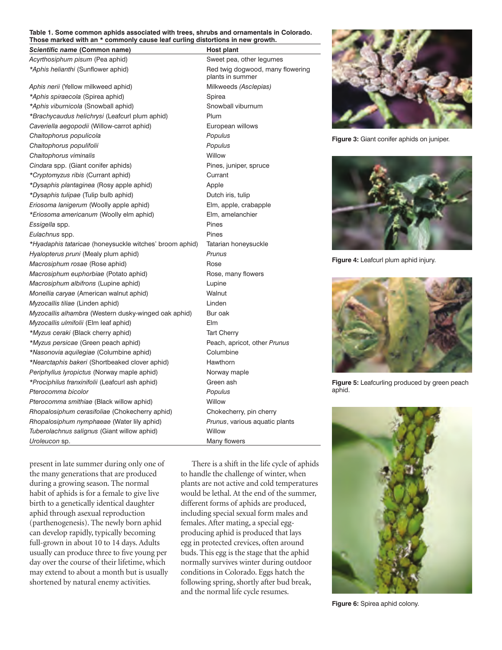#### **Table 1. Some common aphids associated with trees, shrubs and ornamentals in Colorado. Those marked with an \* commonly cause leaf curling distortions in new growth.**

#### **Scientific name (Common name) Host plant**

*Acyrthosiphum pisum* (Pea aphid) Sweet pea, other legumes

Aphis nerii (Yellow milkweed aphid) Milkweeds *(Asclepias)* \*Aphis spiraecola (Spirea aphid) **Spirea** Spirea \*Aphis viburnicola (Snowball aphid) **Showball viburnum** *\*Brachycaudus helichrysi* (Leafcurl plum aphid) Plum Caveriella aegopodii (Willow-carrot aphid) **European willows** *Chaitophorus populicola Populus* Chaitophorus populifolii **Populus** Populus **Chaitophorus viminalis** Willow Cindara spp. (Giant conifer aphids) Pines, juniper, spruce *\*Cryptomyzus ribis* (Currant aphid) Currant *\*Dysaphis plantaginea* (Rosy apple aphid) Apple *\*Dysaphis tulipae* (Tulip bulb aphid) Dutch iris, tulip *Eriosoma lanigerum* (Woolly apple aphid) Elm, apple, crabapple *\*Eriosoma americanum* (Woolly elm aphid) Elm, amelanchier *Essigella* spp. Pines *Eulachnus* spp. Pines *\*Hyadaphis tataricae* (honeysuckle witches' broom aphid) Tatarian honeysuckle *Hyalopterus pruni* (Mealy plum aphid) *Prunus Macrosiphum rosae* (Rose aphid) Rose *Macrosiphum euphorbiae* (Potato aphid) **Rose**, many flowers *Macrosiphum albifrons* (Lupine aphid) Lupine *Monellia caryae* (American walnut aphid) Walnut *Myzocallis tiliae* (Linden aphid) Linden *Myzocallis alhambra* (Western dusky-winged oak aphid) Bur oak *Myzocallis ulmifolii* (Elm leaf aphid) Elm *\*Myzus ceraki* (Black cherry aphid) Tart Cherry *\*Myzus persicae* (Green peach aphid) Peach, apricot, other *Prunus \*Nasonovia aquilegiae* (Columbine aphid) Columbine *\*Nearctaphis bakeri* (Shortbeaked clover aphid) Hawthorn *Periphyllus lyropictus* (Norway maple aphid) Norway maple *\*Prociphilus franxinifolii* (Leafcurl ash aphid) Green ash *Pterocomma bicolor Populus* Pterocomma smithiae (Black willow aphid) Willow

*Rhopalosiphum cerasifoliae* (Chokecherry aphid) Chokecherry, pin cherry *Rhopalosiphum nymphaeae* (Water lily aphid) *Prunus*, various aquatic plants *Tuberolachnus salignus* (Giant willow aphid) Willow **Uroleucon** sp. **Many flowers** 

present in late summer during only one of the many generations that are produced during a growing season. The normal habit of aphids is for a female to give live birth to a genetically identical daughter aphid through asexual reproduction (parthenogenesis). The newly born aphid can develop rapidly, typically becoming full-grown in about 10 to 14 days. Adults usually can produce three to five young per day over the course of their lifetime, which may extend to about a month but is usually shortened by natural enemy activities.

\*Aphis helianthi (Sunflower aphid) Red twig dogwood, many flowering plants in summer

> There is a shift in the life cycle of aphids to handle the challenge of winter, when plants are not active and cold temperatures would be lethal. At the end of the summer, different forms of aphids are produced, including special sexual form males and females. After mating, a special eggproducing aphid is produced that lays egg in protected crevices, often around buds. This egg is the stage that the aphid normally survives winter during outdoor conditions in Colorado. Eggs hatch the following spring, shortly after bud break, and the normal life cycle resumes.

**Figure 3:** Giant conifer aphids on juniper.



**Figure 4:** Leafcurl plum aphid injury.



**Figure 5:** Leafcurling produced by green peach aphid.



**Figure 6:** Spirea aphid colony.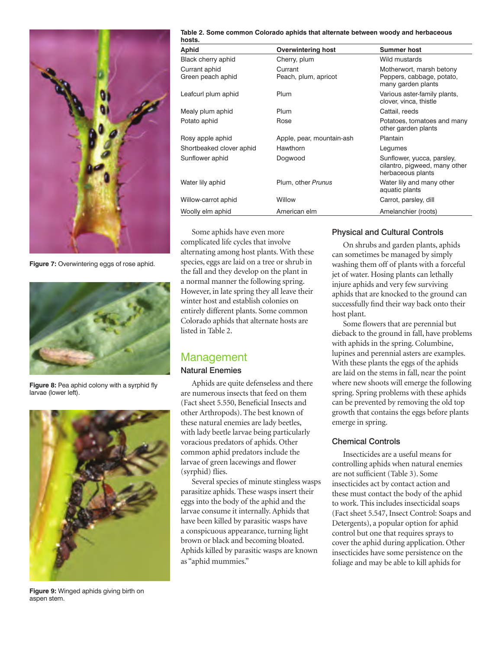

**Figure 7:** Overwintering eggs of rose aphid.



**Figure 8:** Pea aphid colony with a syrphid fly larvae (lower left).



**Figure 9:** Winged aphids giving birth on aspen stem.

**Table 2. Some common Colorado aphids that alternate between woody and herbaceous** 

| hosts.                             |                                 |                                                                                  |
|------------------------------------|---------------------------------|----------------------------------------------------------------------------------|
| <b>Aphid</b>                       | <b>Overwintering host</b>       | <b>Summer host</b>                                                               |
| Black cherry aphid                 | Cherry, plum                    | Wild mustards                                                                    |
| Currant aphid<br>Green peach aphid | Currant<br>Peach, plum, apricot | Motherwort, marsh betony<br>Peppers, cabbage, potato,<br>many garden plants      |
| Leafcurl plum aphid                | Plum                            | Various aster-family plants,<br>clover, vinca, thistle                           |
| Mealy plum aphid                   | Plum                            | Cattail, reeds                                                                   |
| Potato aphid                       | Rose                            | Potatoes, tomatoes and many<br>other garden plants                               |
| Rosy apple aphid                   | Apple, pear, mountain-ash       | Plantain                                                                         |
| Shortbeaked clover aphid           | Hawthorn                        | Legumes                                                                          |
| Sunflower aphid                    | Dogwood                         | Sunflower, yucca, parsley,<br>cilantro, pigweed, many other<br>herbaceous plants |
| Water lily aphid                   | Plum, other Prunus              | Water lily and many other<br>aquatic plants                                      |
| Willow-carrot aphid                | Willow                          | Carrot, parsley, dill                                                            |
| Woolly elm aphid                   | American elm                    | Amelanchier (roots)                                                              |

Some aphids have even more complicated life cycles that involve alternating among host plants. With these species, eggs are laid on a tree or shrub in the fall and they develop on the plant in a normal manner the following spring. However, in late spring they all leave their winter host and establish colonies on entirely different plants. Some common Colorado aphids that alternate hosts are listed in Table 2.

## Management

### Natural Enemies

Aphids are quite defenseless and there are numerous insects that feed on them (Fact sheet 5.550, Beneficial Insects and other Arthropods). The best known of these natural enemies are lady beetles, with lady beetle larvae being particularly voracious predators of aphids. Other common aphid predators include the larvae of green lacewings and flower (syrphid) flies.

Several species of minute stingless wasps parasitize aphids. These wasps insert their eggs into the body of the aphid and the larvae consume it internally. Aphids that have been killed by parasitic wasps have a conspicuous appearance, turning light brown or black and becoming bloated. Aphids killed by parasitic wasps are known as "aphid mummies."

### Physical and Cultural Controls

On shrubs and garden plants, aphids can sometimes be managed by simply washing them off of plants with a forceful jet of water. Hosing plants can lethally injure aphids and very few surviving aphids that are knocked to the ground can successfully find their way back onto their host plant.

Some flowers that are perennial but dieback to the ground in fall, have problems with aphids in the spring. Columbine, lupines and perennial asters are examples. With these plants the eggs of the aphids are laid on the stems in fall, near the point where new shoots will emerge the following spring. Spring problems with these aphids can be prevented by removing the old top growth that contains the eggs before plants emerge in spring.

### Chemical Controls

Insecticides are a useful means for controlling aphids when natural enemies are not sufficient (Table 3). Some insecticides act by contact action and these must contact the body of the aphid to work. This includes insecticidal soaps (Fact sheet 5.547, Insect Control: Soaps and Detergents), a popular option for aphid control but one that requires sprays to cover the aphid during application. Other insecticides have some persistence on the foliage and may be able to kill aphids for